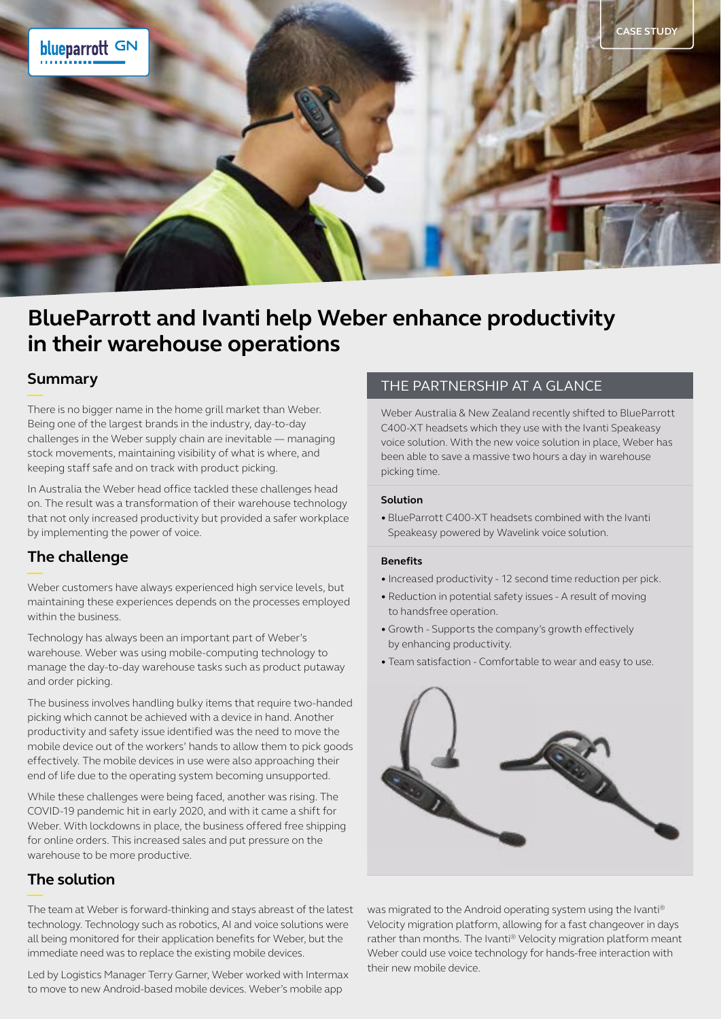

# **BlueParrott and Ivanti help Weber enhance productivity in their warehouse operations**

### **Summary**

There is no bigger name in the home grill market than Weber. Being one of the largest brands in the industry, day-to-day challenges in the Weber supply chain are inevitable — managing stock movements, maintaining visibility of what is where, and keeping staff safe and on track with product picking.

In Australia the Weber head office tackled these challenges head on. The result was a transformation of their warehouse technology that not only increased productivity but provided a safer workplace by implementing the power of voice.

# **The challenge**

Weber customers have always experienced high service levels, but maintaining these experiences depends on the processes employed within the business.

Technology has always been an important part of Weber's warehouse. Weber was using mobile-computing technology to manage the day-to-day warehouse tasks such as product putaway and order picking.

The business involves handling bulky items that require two-handed picking which cannot be achieved with a device in hand. Another productivity and safety issue identified was the need to move the mobile device out of the workers' hands to allow them to pick goods effectively. The mobile devices in use were also approaching their end of life due to the operating system becoming unsupported.

While these challenges were being faced, another was rising. The COVID-19 pandemic hit in early 2020, and with it came a shift for Weber. With lockdowns in place, the business offered free shipping for online orders. This increased sales and put pressure on the warehouse to be more productive.

# **The solution**

The team at Weber is forward-thinking and stays abreast of the latest technology. Technology such as robotics, AI and voice solutions were all being monitored for their application benefits for Weber, but the immediate need was to replace the existing mobile devices.

Led by Logistics Manager Terry Garner, Weber worked with Intermax to move to new Android-based mobile devices. Weber's mobile app

### THE PARTNERSHIP AT A GLANCE

Weber Australia & New Zealand recently shifted to BlueParrott C400-XT headsets which they use with the Ivanti Speakeasy voice solution. With the new voice solution in place, Weber has been able to save a massive two hours a day in warehouse picking time.

#### **Solution**

• BlueParrott C400-XT headsets combined with the Ivanti Speakeasy powered by Wavelink voice solution.

#### **Benefits**

- Increased productivity 12 second time reduction per pick.
- Reduction in potential safety issues A result of moving to handsfree operation.
- Growth Supports the company's growth effectively by enhancing productivity.
- Team satisfaction Comfortable to wear and easy to use.



was migrated to the Android operating system using the Ivanti® Velocity migration platform, allowing for a fast changeover in days rather than months. The Ivanti® Velocity migration platform meant Weber could use voice technology for hands-free interaction with their new mobile device.